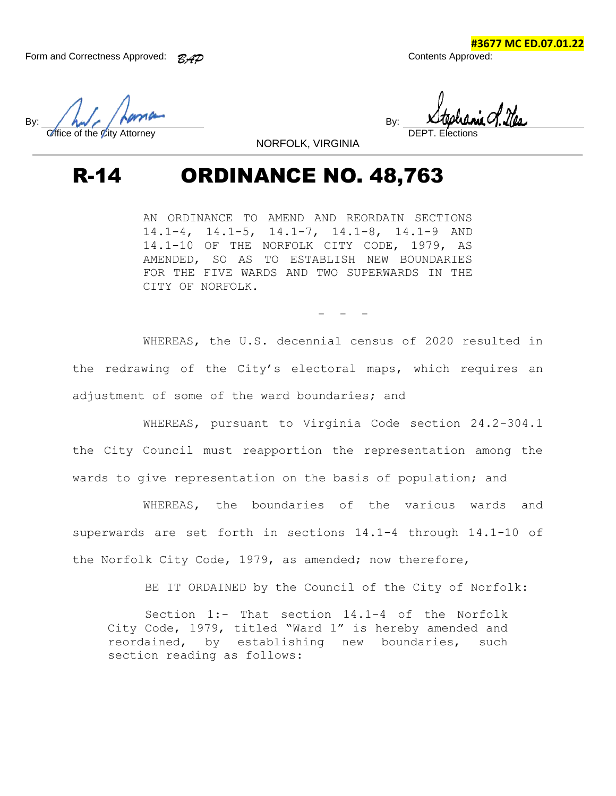**#3677 MC ED.07.01.22**

By:  $\left\langle \begin{array}{c} \mathbf{A} & \mathbf{B} \\ \mathbf{B} & \mathbf{B} \end{array} \right\rangle$ Office of the City Attorney

NORFOLK, VIRGINIA

## R-14 ORDINANCE NO. 48,763

AN ORDINANCE TO AMEND AND REORDAIN SECTIONS 14.1-4, 14.1-5, 14.1-7, 14.1-8, 14.1-9 AND 14.1-10 OF THE NORFOLK CITY CODE, 1979, AS AMENDED, SO AS TO ESTABLISH NEW BOUNDARIES FOR THE FIVE WARDS AND TWO SUPERWARDS IN THE CITY OF NORFOLK.

- - -

WHEREAS, the U.S. decennial census of 2020 resulted in the redrawing of the City's electoral maps, which requires an adjustment of some of the ward boundaries; and

WHEREAS, pursuant to Virginia Code section 24.2-304.1 the City Council must reapportion the representation among the wards to give representation on the basis of population; and

WHEREAS, the boundaries of the various wards and superwards are set forth in sections 14.1-4 through 14.1-10 of the Norfolk City Code, 1979, as amended; now therefore,

BE IT ORDAINED by the Council of the City of Norfolk:

Section 1:- That section 14.1-4 of the Norfolk City Code, 1979, titled "Ward 1" is hereby amended and reordained, by establishing new boundaries, such section reading as follows: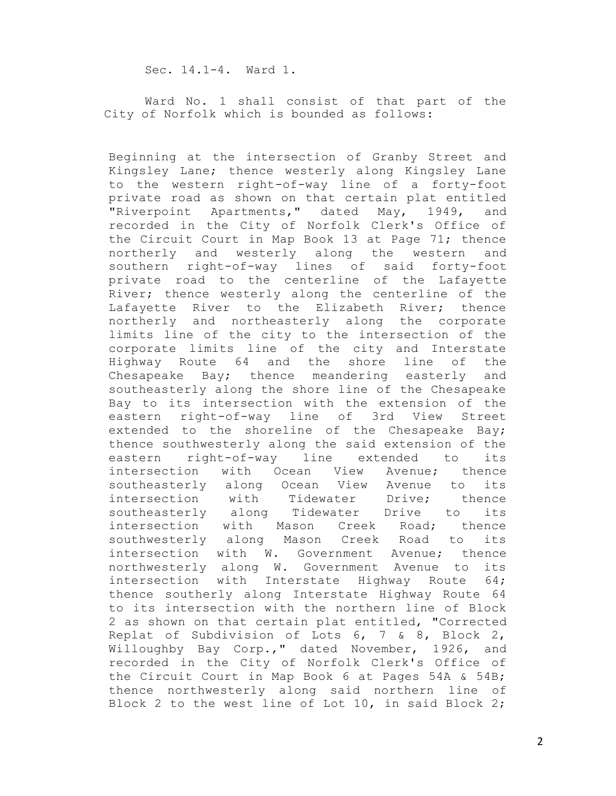Sec. 14.1-4. Ward 1.

Ward No. 1 shall consist of that part of the City of Norfolk which is bounded as follows:

Beginning at the intersection of Granby Street and Kingsley Lane; thence westerly along Kingsley Lane to the western right-of-way line of a forty-foot private road as shown on that certain plat entitled "Riverpoint Apartments," dated May, 1949, and recorded in the City of Norfolk Clerk's Office of the Circuit Court in Map Book 13 at Page 71; thence northerly and westerly along the western and southern right-of-way lines of said forty-foot private road to the centerline of the Lafayette River; thence westerly along the centerline of the Lafayette River to the Elizabeth River; thence northerly and northeasterly along the corporate limits line of the city to the intersection of the corporate limits line of the city and Interstate Highway Route 64 and the shore line of the Chesapeake Bay; thence meandering easterly and southeasterly along the shore line of the Chesapeake Bay to its intersection with the extension of the eastern right-of-way line of 3rd View Street extended to the shoreline of the Chesapeake Bay; thence southwesterly along the said extension of the eastern right-of-way line extended to its intersection with Ocean View Avenue; thence southeasterly along Ocean View Avenue to its intersection with Tidewater Drive; thence southeasterly along Tidewater Drive to its intersection with Mason Creek Road; thence southwesterly along Mason Creek Road to its intersection with W. Government Avenue; thence northwesterly along W. Government Avenue to its intersection with Interstate Highway Route 64; thence southerly along Interstate Highway Route 64 to its intersection with the northern line of Block 2 as shown on that certain plat entitled, "Corrected Replat of Subdivision of Lots 6, 7 & 8, Block 2, Willoughby Bay Corp.," dated November, 1926, and recorded in the City of Norfolk Clerk's Office of the Circuit Court in Map Book 6 at Pages 54A & 54B; thence northwesterly along said northern line of Block 2 to the west line of Lot 10, in said Block 2;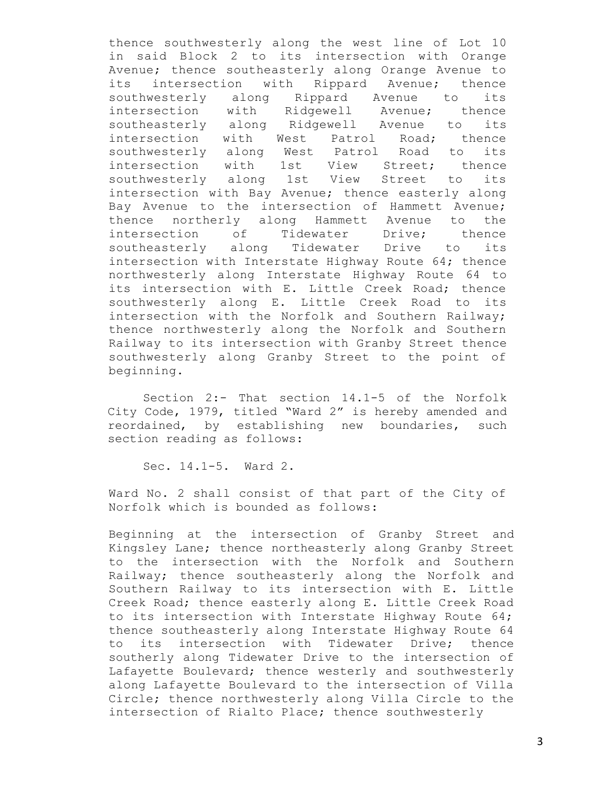thence southwesterly along the west line of Lot 10 in said Block 2 to its intersection with Orange Avenue; thence southeasterly along Orange Avenue to its intersection with Rippard Avenue; thence southwesterly along Rippard Avenue to its intersection with Ridgewell Avenue; thence southeasterly along Ridgewell Avenue to its intersection with West Patrol Road; thence southwesterly along West Patrol Road to its intersection with 1st View Street; thence southwesterly along 1st View Street to its intersection with Bay Avenue; thence easterly along Bay Avenue to the intersection of Hammett Avenue; thence northerly along Hammett Avenue to the intersection of Tidewater Drive; thence southeasterly along Tidewater Drive to its intersection with Interstate Highway Route 64; thence northwesterly along Interstate Highway Route 64 to its intersection with E. Little Creek Road; thence southwesterly along E. Little Creek Road to its intersection with the Norfolk and Southern Railway; thence northwesterly along the Norfolk and Southern Railway to its intersection with Granby Street thence southwesterly along Granby Street to the point of beginning.

Section 2:- That section 14.1-5 of the Norfolk City Code, 1979, titled "Ward 2" is hereby amended and reordained, by establishing new boundaries, such section reading as follows:

Sec. 14.1-5. Ward 2.

Ward No. 2 shall consist of that part of the City of Norfolk which is bounded as follows:

Beginning at the intersection of Granby Street and Kingsley Lane; thence northeasterly along Granby Street to the intersection with the Norfolk and Southern Railway; thence southeasterly along the Norfolk and Southern Railway to its intersection with E. Little Creek Road; thence easterly along E. Little Creek Road to its intersection with Interstate Highway Route 64; thence southeasterly along Interstate Highway Route 64 to its intersection with Tidewater Drive; thence southerly along Tidewater Drive to the intersection of Lafayette Boulevard; thence westerly and southwesterly along Lafayette Boulevard to the intersection of Villa Circle; thence northwesterly along Villa Circle to the intersection of Rialto Place; thence southwesterly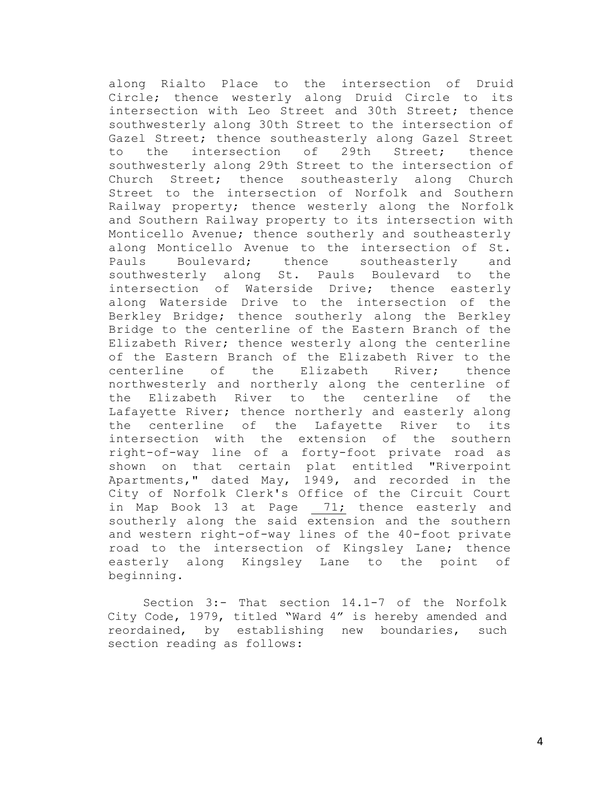along Rialto Place to the intersection of Druid Circle; thence westerly along Druid Circle to its intersection with Leo Street and 30th Street; thence southwesterly along 30th Street to the intersection of Gazel Street; thence southeasterly along Gazel Street to the intersection of 29th Street; thence southwesterly along 29th Street to the intersection of Church Street; thence southeasterly along Church Street to the intersection of Norfolk and Southern Railway property; thence westerly along the Norfolk and Southern Railway property to its intersection with Monticello Avenue; thence southerly and southeasterly along Monticello Avenue to the intersection of St. Pauls Boulevard; thence southeasterly and southwesterly along St. Pauls Boulevard to the intersection of Waterside Drive; thence easterly along Waterside Drive to the intersection of the Berkley Bridge; thence southerly along the Berkley Bridge to the centerline of the Eastern Branch of the Elizabeth River; thence westerly along the centerline of the Eastern Branch of the Elizabeth River to the centerline of the Elizabeth River; thence northwesterly and northerly along the centerline of the Elizabeth River to the centerline of the Lafayette River; thence northerly and easterly along the centerline of the Lafayette River to its intersection with the extension of the southern right-of-way line of a forty-foot private road as shown on that certain plat entitled "Riverpoint Apartments," dated May, 1949, and recorded in the City of Norfolk Clerk's Office of the Circuit Court in Map Book 13 at Page 71; thence easterly and southerly along the said extension and the southern and western right-of-way lines of the 40-foot private road to the intersection of Kingsley Lane; thence easterly along Kingsley Lane to the point of beginning.

Section 3:- That section 14.1-7 of the Norfolk City Code, 1979, titled "Ward 4" is hereby amended and reordained, by establishing new boundaries, such section reading as follows: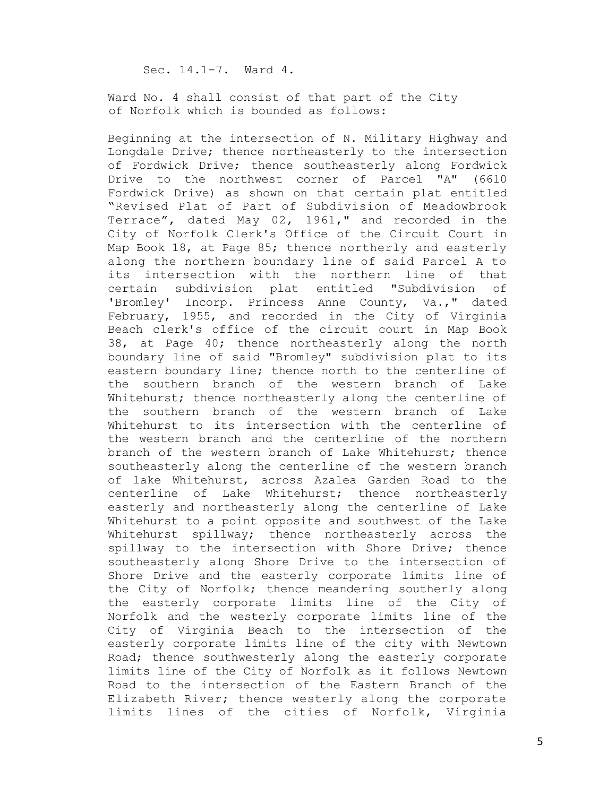Sec. 14.1-7. Ward 4.

Ward No. 4 shall consist of that part of the City of Norfolk which is bounded as follows:

Beginning at the intersection of N. Military Highway and Longdale Drive; thence northeasterly to the intersection of Fordwick Drive; thence southeasterly along Fordwick Drive to the northwest corner of Parcel "A" (6610 Fordwick Drive) as shown on that certain plat entitled "Revised Plat of Part of Subdivision of Meadowbrook Terrace", dated May 02, 1961," and recorded in the City of Norfolk Clerk's Office of the Circuit Court in Map Book 18, at Page 85; thence northerly and easterly along the northern boundary line of said Parcel A to its intersection with the northern line of that certain subdivision plat entitled "Subdivision of 'Bromley' Incorp. Princess Anne County, Va.," dated February, 1955, and recorded in the City of Virginia Beach clerk's office of the circuit court in Map Book 38, at Page 40; thence northeasterly along the north boundary line of said "Bromley" subdivision plat to its eastern boundary line; thence north to the centerline of the southern branch of the western branch of Lake Whitehurst; thence northeasterly along the centerline of the southern branch of the western branch of Lake Whitehurst to its intersection with the centerline of the western branch and the centerline of the northern branch of the western branch of Lake Whitehurst; thence southeasterly along the centerline of the western branch of lake Whitehurst, across Azalea Garden Road to the centerline of Lake Whitehurst; thence northeasterly easterly and northeasterly along the centerline of Lake Whitehurst to a point opposite and southwest of the Lake Whitehurst spillway; thence northeasterly across the spillway to the intersection with Shore Drive; thence southeasterly along Shore Drive to the intersection of Shore Drive and the easterly corporate limits line of the City of Norfolk; thence meandering southerly along the easterly corporate limits line of the City of Norfolk and the westerly corporate limits line of the City of Virginia Beach to the intersection of the easterly corporate limits line of the city with Newtown Road; thence southwesterly along the easterly corporate limits line of the City of Norfolk as it follows Newtown Road to the intersection of the Eastern Branch of the Elizabeth River; thence westerly along the corporate limits lines of the cities of Norfolk, Virginia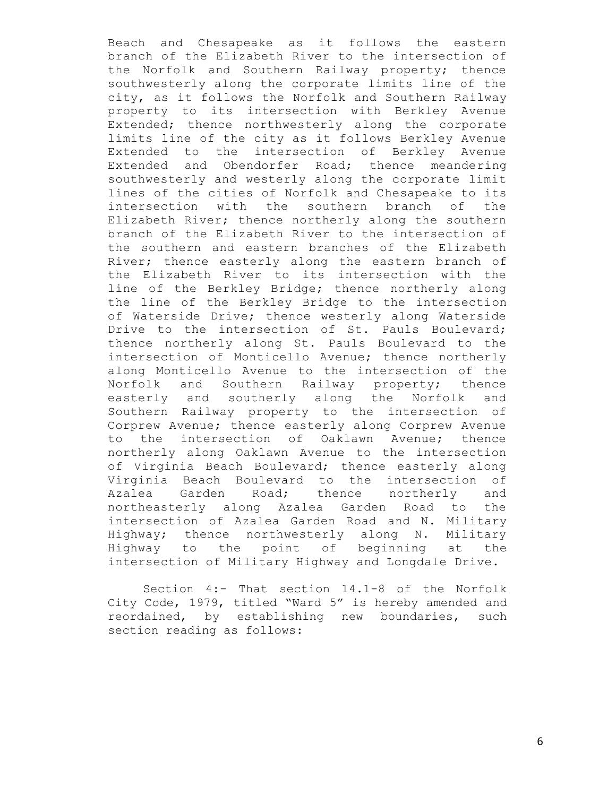Beach and Chesapeake as it follows the eastern branch of the Elizabeth River to the intersection of the Norfolk and Southern Railway property; thence southwesterly along the corporate limits line of the city, as it follows the Norfolk and Southern Railway property to its intersection with Berkley Avenue Extended; thence northwesterly along the corporate limits line of the city as it follows Berkley Avenue Extended to the intersection of Berkley Avenue Extended and Obendorfer Road; thence meandering southwesterly and westerly along the corporate limit lines of the cities of Norfolk and Chesapeake to its intersection with the southern branch of the Elizabeth River; thence northerly along the southern branch of the Elizabeth River to the intersection of the southern and eastern branches of the Elizabeth River; thence easterly along the eastern branch of the Elizabeth River to its intersection with the line of the Berkley Bridge; thence northerly along the line of the Berkley Bridge to the intersection of Waterside Drive; thence westerly along Waterside Drive to the intersection of St. Pauls Boulevard; thence northerly along St. Pauls Boulevard to the intersection of Monticello Avenue; thence northerly along Monticello Avenue to the intersection of the Norfolk and Southern Railway property; thence easterly and southerly along the Norfolk and Southern Railway property to the intersection of Corprew Avenue; thence easterly along Corprew Avenue to the intersection of Oaklawn Avenue; thence northerly along Oaklawn Avenue to the intersection of Virginia Beach Boulevard; thence easterly along Virginia Beach Boulevard to the intersection of Azalea Garden Road; thence northerly and northeasterly along Azalea Garden Road to the intersection of Azalea Garden Road and N. Military Highway; thence northwesterly along N. Military Highway to the point of beginning at the intersection of Military Highway and Longdale Drive.

Section 4:- That section 14.1-8 of the Norfolk City Code, 1979, titled "Ward 5" is hereby amended and reordained, by establishing new boundaries, such section reading as follows: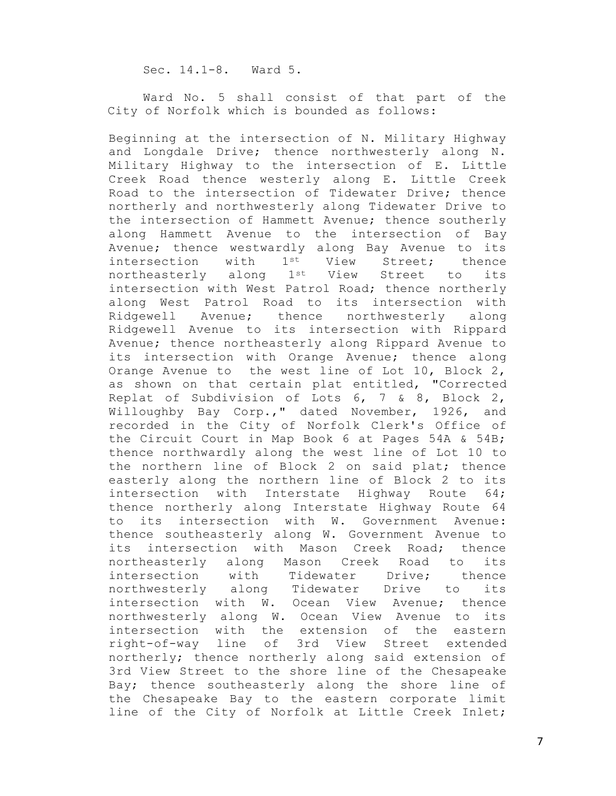Sec. 14.1-8. Ward 5.

Ward No. 5 shall consist of that part of the City of Norfolk which is bounded as follows:

Beginning at the intersection of N. Military Highway and Longdale Drive; thence northwesterly along N. Military Highway to the intersection of E. Little Creek Road thence westerly along E. Little Creek Road to the intersection of Tidewater Drive; thence northerly and northwesterly along Tidewater Drive to the intersection of Hammett Avenue; thence southerly along Hammett Avenue to the intersection of Bay Avenue; thence westwardly along Bay Avenue to its intersection with 1<sup>st</sup> View Street; thence northeasterly along 1st View Street to its intersection with West Patrol Road; thence northerly along West Patrol Road to its intersection with Ridgewell Avenue; thence northwesterly along Ridgewell Avenue to its intersection with Rippard Avenue; thence northeasterly along Rippard Avenue to its intersection with Orange Avenue; thence along Orange Avenue to the west line of Lot 10, Block 2, as shown on that certain plat entitled, "Corrected Replat of Subdivision of Lots 6, 7 & 8, Block 2, Willoughby Bay Corp.," dated November, 1926, and recorded in the City of Norfolk Clerk's Office of the Circuit Court in Map Book 6 at Pages 54A & 54B; thence northwardly along the west line of Lot 10 to the northern line of Block 2 on said plat; thence easterly along the northern line of Block 2 to its intersection with Interstate Highway Route 64; thence northerly along Interstate Highway Route 64 to its intersection with W. Government Avenue: thence southeasterly along W. Government Avenue to its intersection with Mason Creek Road; thence northeasterly along Mason Creek Road to its intersection with Tidewater Drive; thence<br>northwesterly along Tidewater Drive to its northwesterly along Tidewater Drive to its intersection with W. Ocean View Avenue; thence northwesterly along W. Ocean View Avenue to its intersection with the extension of the eastern right-of-way line of 3rd View Street extended northerly; thence northerly along said extension of 3rd View Street to the shore line of the Chesapeake Bay; thence southeasterly along the shore line of the Chesapeake Bay to the eastern corporate limit line of the City of Norfolk at Little Creek Inlet;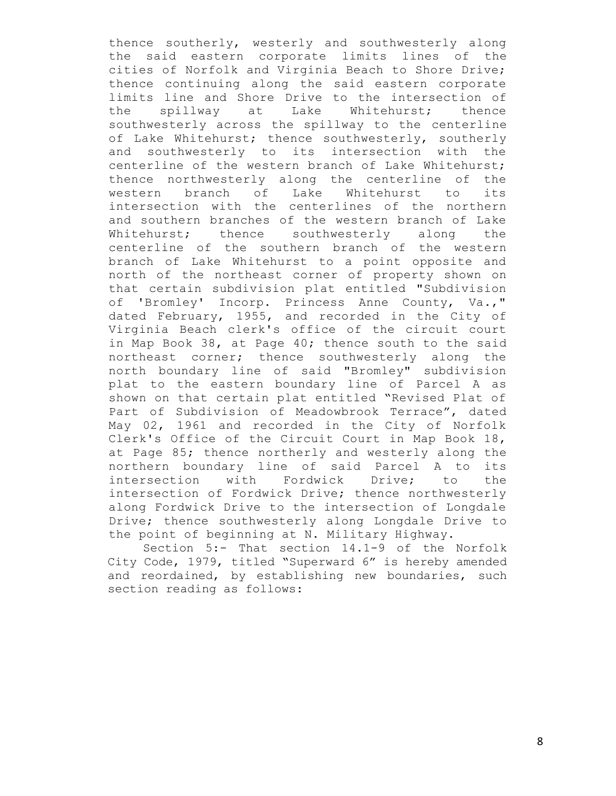thence southerly, westerly and southwesterly along the said eastern corporate limits lines of the cities of Norfolk and Virginia Beach to Shore Drive; thence continuing along the said eastern corporate limits line and Shore Drive to the intersection of the spillway at Lake Whitehurst; thence southwesterly across the spillway to the centerline of Lake Whitehurst; thence southwesterly, southerly and southwesterly to its intersection with the centerline of the western branch of Lake Whitehurst; thence northwesterly along the centerline of the western branch of Lake Whitehurst to its intersection with the centerlines of the northern and southern branches of the western branch of Lake Whitehurst; thence southwesterly along the centerline of the southern branch of the western branch of Lake Whitehurst to a point opposite and north of the northeast corner of property shown on that certain subdivision plat entitled "Subdivision of 'Bromley' Incorp. Princess Anne County, Va.," dated February, 1955, and recorded in the City of Virginia Beach clerk's office of the circuit court in Map Book 38, at Page 40; thence south to the said northeast corner; thence southwesterly along the north boundary line of said "Bromley" subdivision plat to the eastern boundary line of Parcel A as shown on that certain plat entitled "Revised Plat of Part of Subdivision of Meadowbrook Terrace", dated May 02, 1961 and recorded in the City of Norfolk Clerk's Office of the Circuit Court in Map Book 18, at Page 85; thence northerly and westerly along the northern boundary line of said Parcel A to its intersection with Fordwick Drive; to the intersection of Fordwick Drive; thence northwesterly along Fordwick Drive to the intersection of Longdale Drive; thence southwesterly along Longdale Drive to the point of beginning at N. Military Highway.

Section 5:- That section 14.1-9 of the Norfolk City Code, 1979, titled "Superward 6" is hereby amended and reordained, by establishing new boundaries, such section reading as follows: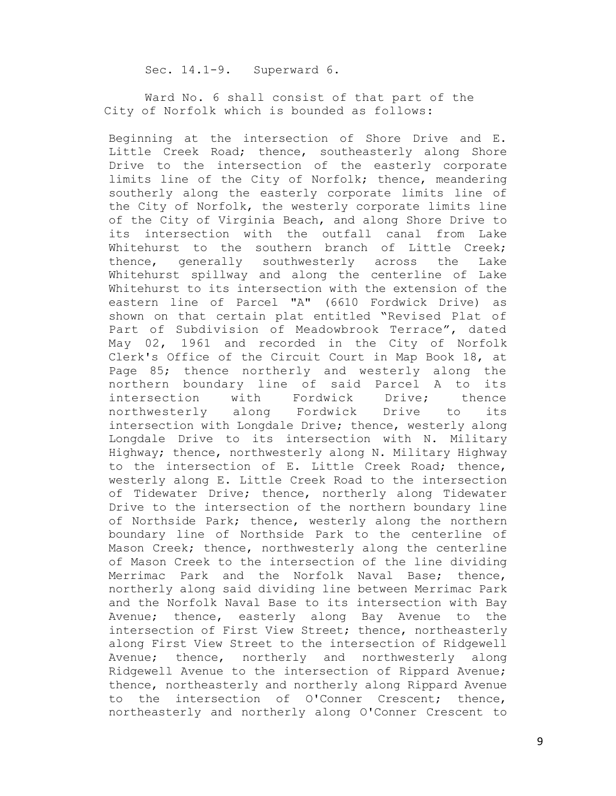Sec. 14.1-9. Superward 6.

Ward No. 6 shall consist of that part of the City of Norfolk which is bounded as follows:

Beginning at the intersection of Shore Drive and E. Little Creek Road; thence, southeasterly along Shore Drive to the intersection of the easterly corporate limits line of the City of Norfolk; thence, meandering southerly along the easterly corporate limits line of the City of Norfolk, the westerly corporate limits line of the City of Virginia Beach, and along Shore Drive to its intersection with the outfall canal from Lake Whitehurst to the southern branch of Little Creek; thence, generally southwesterly across the Lake Whitehurst spillway and along the centerline of Lake Whitehurst to its intersection with the extension of the eastern line of Parcel "A" (6610 Fordwick Drive) as shown on that certain plat entitled "Revised Plat of Part of Subdivision of Meadowbrook Terrace", dated May 02, 1961 and recorded in the City of Norfolk Clerk's Office of the Circuit Court in Map Book 18, at Page 85; thence northerly and westerly along the northern boundary line of said Parcel A to its intersection with Fordwick Drive; thence northwesterly along Fordwick Drive to its intersection with Longdale Drive; thence, westerly along Longdale Drive to its intersection with N. Military Highway; thence, northwesterly along N. Military Highway to the intersection of E. Little Creek Road; thence, westerly along E. Little Creek Road to the intersection of Tidewater Drive; thence, northerly along Tidewater Drive to the intersection of the northern boundary line of Northside Park; thence, westerly along the northern boundary line of Northside Park to the centerline of Mason Creek; thence, northwesterly along the centerline of Mason Creek to the intersection of the line dividing Merrimac Park and the Norfolk Naval Base; thence, northerly along said dividing line between Merrimac Park and the Norfolk Naval Base to its intersection with Bay Avenue; thence, easterly along Bay Avenue to the intersection of First View Street; thence, northeasterly along First View Street to the intersection of Ridgewell Avenue; thence, northerly and northwesterly along Ridgewell Avenue to the intersection of Rippard Avenue; thence, northeasterly and northerly along Rippard Avenue to the intersection of O'Conner Crescent; thence, northeasterly and northerly along O'Conner Crescent to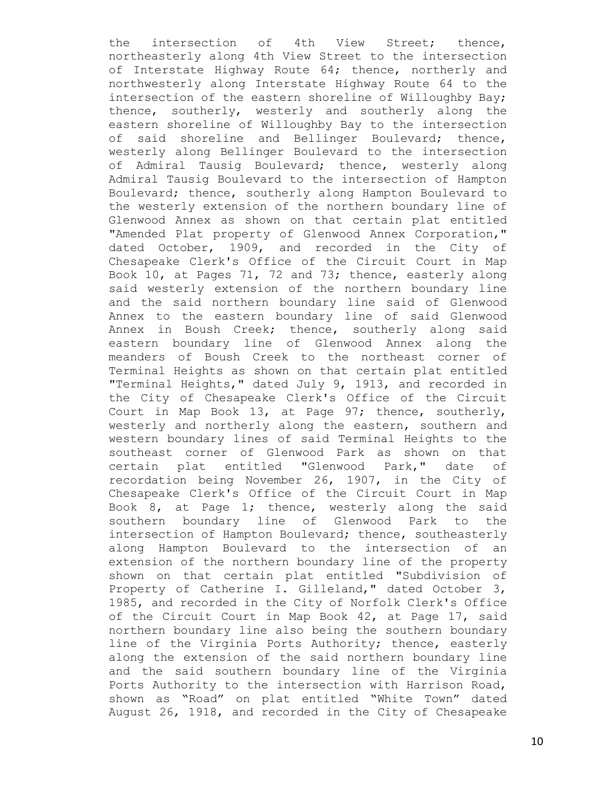the intersection of 4th View Street; thence, northeasterly along 4th View Street to the intersection of Interstate Highway Route 64; thence, northerly and northwesterly along Interstate Highway Route 64 to the intersection of the eastern shoreline of Willoughby Bay; thence, southerly, westerly and southerly along the eastern shoreline of Willoughby Bay to the intersection of said shoreline and Bellinger Boulevard; thence, westerly along Bellinger Boulevard to the intersection of Admiral Tausig Boulevard; thence, westerly along Admiral Tausig Boulevard to the intersection of Hampton Boulevard; thence, southerly along Hampton Boulevard to the westerly extension of the northern boundary line of Glenwood Annex as shown on that certain plat entitled "Amended Plat property of Glenwood Annex Corporation," dated October, 1909, and recorded in the City of Chesapeake Clerk's Office of the Circuit Court in Map Book 10, at Pages 71, 72 and 73; thence, easterly along said westerly extension of the northern boundary line and the said northern boundary line said of Glenwood Annex to the eastern boundary line of said Glenwood Annex in Boush Creek; thence, southerly along said eastern boundary line of Glenwood Annex along the meanders of Boush Creek to the northeast corner of Terminal Heights as shown on that certain plat entitled "Terminal Heights," dated July 9, 1913, and recorded in the City of Chesapeake Clerk's Office of the Circuit Court in Map Book 13, at Page 97; thence, southerly, westerly and northerly along the eastern, southern and western boundary lines of said Terminal Heights to the southeast corner of Glenwood Park as shown on that certain plat entitled "Glenwood Park," date of recordation being November 26, 1907, in the City of Chesapeake Clerk's Office of the Circuit Court in Map Book 8, at Page 1; thence, westerly along the said southern boundary line of Glenwood Park to the intersection of Hampton Boulevard; thence, southeasterly along Hampton Boulevard to the intersection of an extension of the northern boundary line of the property shown on that certain plat entitled "Subdivision of Property of Catherine I. Gilleland," dated October 3, 1985, and recorded in the City of Norfolk Clerk's Office of the Circuit Court in Map Book 42, at Page 17, said northern boundary line also being the southern boundary line of the Virginia Ports Authority; thence, easterly along the extension of the said northern boundary line and the said southern boundary line of the Virginia Ports Authority to the intersection with Harrison Road, shown as "Road" on plat entitled "White Town" dated August 26, 1918, and recorded in the City of Chesapeake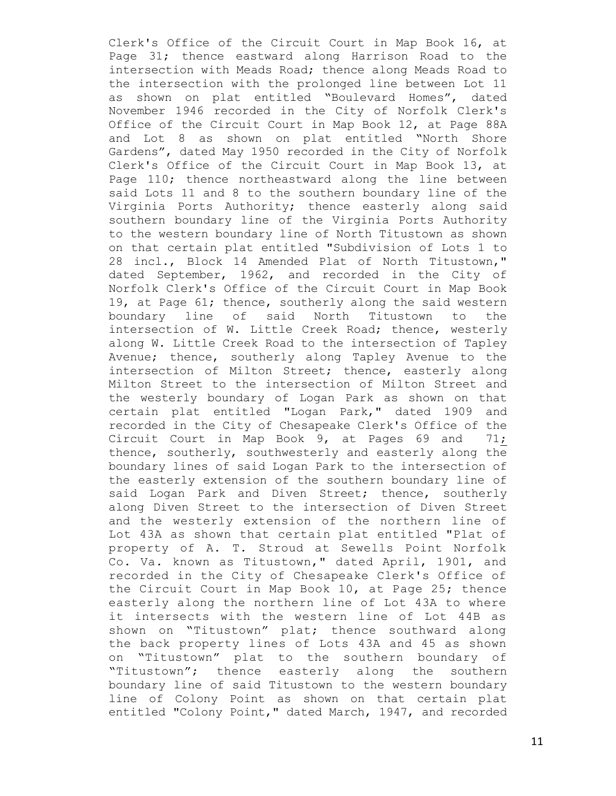Clerk's Office of the Circuit Court in Map Book 16, at Page 31; thence eastward along Harrison Road to the intersection with Meads Road; thence along Meads Road to the intersection with the prolonged line between Lot 11 as shown on plat entitled "Boulevard Homes", dated November 1946 recorded in the City of Norfolk Clerk's Office of the Circuit Court in Map Book 12, at Page 88A and Lot 8 as shown on plat entitled "North Shore Gardens", dated May 1950 recorded in the City of Norfolk Clerk's Office of the Circuit Court in Map Book 13, at Page 110; thence northeastward along the line between said Lots 11 and 8 to the southern boundary line of the Virginia Ports Authority; thence easterly along said southern boundary line of the Virginia Ports Authority to the western boundary line of North Titustown as shown on that certain plat entitled "Subdivision of Lots 1 to 28 incl., Block 14 Amended Plat of North Titustown," dated September, 1962, and recorded in the City of Norfolk Clerk's Office of the Circuit Court in Map Book 19, at Page 61; thence, southerly along the said western boundary line of said North Titustown to the intersection of W. Little Creek Road; thence, westerly along W. Little Creek Road to the intersection of Tapley Avenue; thence, southerly along Tapley Avenue to the intersection of Milton Street; thence, easterly along Milton Street to the intersection of Milton Street and the westerly boundary of Logan Park as shown on that certain plat entitled "Logan Park," dated 1909 and recorded in the City of Chesapeake Clerk's Office of the Circuit Court in Map Book 9, at Pages 69 and 71; thence, southerly, southwesterly and easterly along the boundary lines of said Logan Park to the intersection of the easterly extension of the southern boundary line of said Logan Park and Diven Street; thence, southerly along Diven Street to the intersection of Diven Street and the westerly extension of the northern line of Lot 43A as shown that certain plat entitled "Plat of property of A. T. Stroud at Sewells Point Norfolk Co. Va. known as Titustown," dated April, 1901, and recorded in the City of Chesapeake Clerk's Office of the Circuit Court in Map Book 10, at Page 25; thence easterly along the northern line of Lot 43A to where it intersects with the western line of Lot 44B as shown on "Titustown" plat; thence southward along the back property lines of Lots 43A and 45 as shown on "Titustown" plat to the southern boundary of "Titustown"; thence easterly along the southern boundary line of said Titustown to the western boundary line of Colony Point as shown on that certain plat entitled "Colony Point," dated March, 1947, and recorded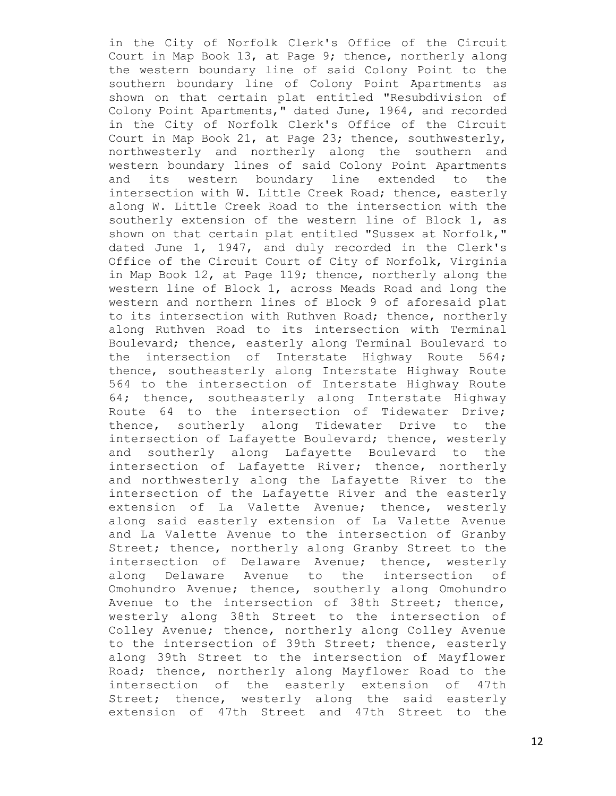in the City of Norfolk Clerk's Office of the Circuit Court in Map Book 13, at Page 9; thence, northerly along the western boundary line of said Colony Point to the southern boundary line of Colony Point Apartments as shown on that certain plat entitled "Resubdivision of Colony Point Apartments," dated June, 1964, and recorded in the City of Norfolk Clerk's Office of the Circuit Court in Map Book 21, at Page 23; thence, southwesterly, northwesterly and northerly along the southern and western boundary lines of said Colony Point Apartments and its western boundary line extended to the intersection with W. Little Creek Road; thence, easterly along W. Little Creek Road to the intersection with the southerly extension of the western line of Block 1, as shown on that certain plat entitled "Sussex at Norfolk," dated June 1, 1947, and duly recorded in the Clerk's Office of the Circuit Court of City of Norfolk, Virginia in Map Book 12, at Page 119; thence, northerly along the western line of Block 1, across Meads Road and long the western and northern lines of Block 9 of aforesaid plat to its intersection with Ruthven Road; thence, northerly along Ruthven Road to its intersection with Terminal Boulevard; thence, easterly along Terminal Boulevard to the intersection of Interstate Highway Route 564; thence, southeasterly along Interstate Highway Route 564 to the intersection of Interstate Highway Route 64; thence, southeasterly along Interstate Highway Route 64 to the intersection of Tidewater Drive; thence, southerly along Tidewater Drive to the intersection of Lafayette Boulevard; thence, westerly and southerly along Lafayette Boulevard to the intersection of Lafayette River; thence, northerly and northwesterly along the Lafayette River to the intersection of the Lafayette River and the easterly extension of La Valette Avenue; thence, westerly along said easterly extension of La Valette Avenue and La Valette Avenue to the intersection of Granby Street; thence, northerly along Granby Street to the intersection of Delaware Avenue; thence, westerly along Delaware Avenue to the intersection of Omohundro Avenue; thence, southerly along Omohundro Avenue to the intersection of 38th Street; thence, westerly along 38th Street to the intersection of Colley Avenue; thence, northerly along Colley Avenue to the intersection of 39th Street; thence, easterly along 39th Street to the intersection of Mayflower Road; thence, northerly along Mayflower Road to the intersection of the easterly extension of 47th Street; thence, westerly along the said easterly extension of 47th Street and 47th Street to the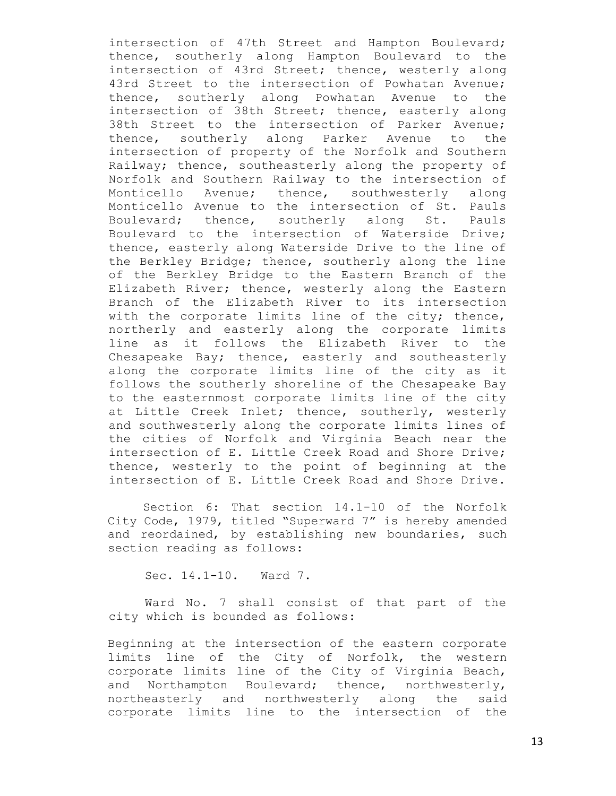intersection of 47th Street and Hampton Boulevard; thence, southerly along Hampton Boulevard to the intersection of 43rd Street; thence, westerly along 43rd Street to the intersection of Powhatan Avenue; thence, southerly along Powhatan Avenue to the intersection of 38th Street; thence, easterly along 38th Street to the intersection of Parker Avenue; thence, southerly along Parker Avenue to the intersection of property of the Norfolk and Southern Railway; thence, southeasterly along the property of Norfolk and Southern Railway to the intersection of Monticello Avenue; thence, southwesterly along Monticello Avenue to the intersection of St. Pauls Boulevard; thence, southerly along St. Pauls Boulevard to the intersection of Waterside Drive; thence, easterly along Waterside Drive to the line of the Berkley Bridge; thence, southerly along the line of the Berkley Bridge to the Eastern Branch of the Elizabeth River; thence, westerly along the Eastern Branch of the Elizabeth River to its intersection with the corporate limits line of the city; thence, northerly and easterly along the corporate limits line as it follows the Elizabeth River to the Chesapeake Bay; thence, easterly and southeasterly along the corporate limits line of the city as it follows the southerly shoreline of the Chesapeake Bay to the easternmost corporate limits line of the city at Little Creek Inlet; thence, southerly, westerly and southwesterly along the corporate limits lines of the cities of Norfolk and Virginia Beach near the intersection of E. Little Creek Road and Shore Drive; thence, westerly to the point of beginning at the intersection of E. Little Creek Road and Shore Drive.

Section 6: That section 14.1-10 of the Norfolk City Code, 1979, titled "Superward 7" is hereby amended and reordained, by establishing new boundaries, such section reading as follows:

Sec. 14.1-10. Ward 7.

Ward No. 7 shall consist of that part of the city which is bounded as follows:

Beginning at the intersection of the eastern corporate limits line of the City of Norfolk, the western corporate limits line of the City of Virginia Beach, and Northampton Boulevard; thence, northwesterly, northeasterly and northwesterly along the said corporate limits line to the intersection of the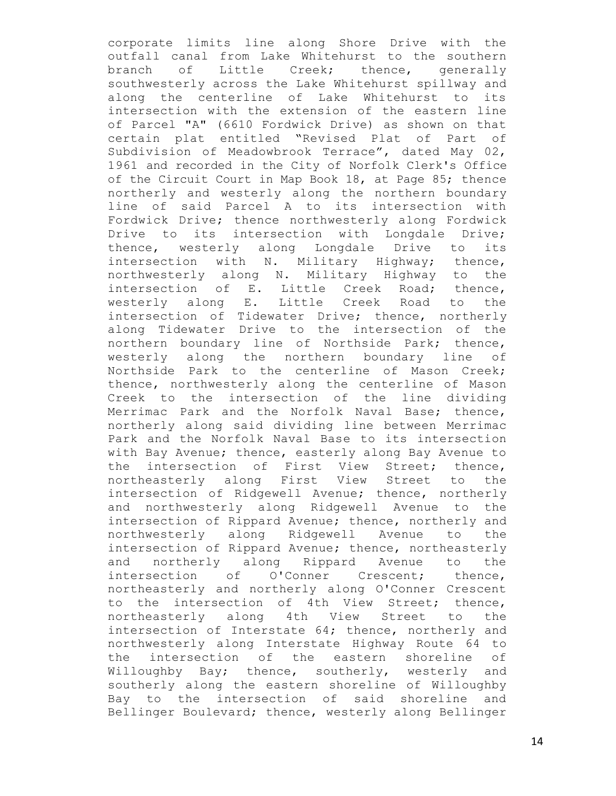corporate limits line along Shore Drive with the outfall canal from Lake Whitehurst to the southern branch of Little Creek; thence, generally southwesterly across the Lake Whitehurst spillway and along the centerline of Lake Whitehurst to its intersection with the extension of the eastern line of Parcel "A" (6610 Fordwick Drive) as shown on that certain plat entitled "Revised Plat of Part of Subdivision of Meadowbrook Terrace", dated May 02, 1961 and recorded in the City of Norfolk Clerk's Office of the Circuit Court in Map Book 18, at Page 85; thence northerly and westerly along the northern boundary line of said Parcel A to its intersection with Fordwick Drive; thence northwesterly along Fordwick Drive to its intersection with Longdale Drive; thence, westerly along Longdale Drive to its intersection with N. Military Highway; thence, northwesterly along N. Military Highway to the intersection of E. Little Creek Road; thence, westerly along E. Little Creek Road to the intersection of Tidewater Drive; thence, northerly along Tidewater Drive to the intersection of the northern boundary line of Northside Park; thence, westerly along the northern boundary line of Northside Park to the centerline of Mason Creek; thence, northwesterly along the centerline of Mason Creek to the intersection of the line dividing Merrimac Park and the Norfolk Naval Base; thence, northerly along said dividing line between Merrimac Park and the Norfolk Naval Base to its intersection with Bay Avenue; thence, easterly along Bay Avenue to the intersection of First View Street; thence, northeasterly along First View Street to the intersection of Ridgewell Avenue; thence, northerly and northwesterly along Ridgewell Avenue to the intersection of Rippard Avenue; thence, northerly and northwesterly along Ridgewell Avenue to the intersection of Rippard Avenue; thence, northeasterly and northerly along Rippard Avenue to the intersection of O'Conner Crescent; thence, northeasterly and northerly along O'Conner Crescent to the intersection of 4th View Street; thence, northeasterly along 4th View Street to the intersection of Interstate 64; thence, northerly and northwesterly along Interstate Highway Route 64 to the intersection of the eastern shoreline of Willoughby Bay; thence, southerly, westerly and southerly along the eastern shoreline of Willoughby Bay to the intersection of said shoreline and Bellinger Boulevard; thence, westerly along Bellinger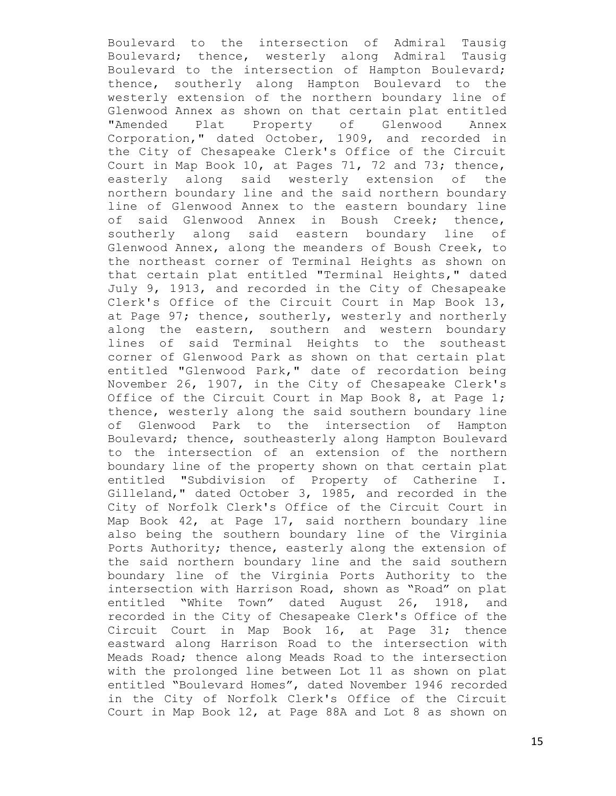Boulevard to the intersection of Admiral Tausig Boulevard; thence, westerly along Admiral Tausig Boulevard to the intersection of Hampton Boulevard; thence, southerly along Hampton Boulevard to the westerly extension of the northern boundary line of Glenwood Annex as shown on that certain plat entitled "Amended Plat Property of Glenwood Annex Corporation," dated October, 1909, and recorded in the City of Chesapeake Clerk's Office of the Circuit Court in Map Book 10, at Pages 71, 72 and 73; thence, easterly along said westerly extension of the northern boundary line and the said northern boundary line of Glenwood Annex to the eastern boundary line of said Glenwood Annex in Boush Creek; thence, southerly along said eastern boundary line of Glenwood Annex, along the meanders of Boush Creek, to the northeast corner of Terminal Heights as shown on that certain plat entitled "Terminal Heights," dated July 9, 1913, and recorded in the City of Chesapeake Clerk's Office of the Circuit Court in Map Book 13, at Page 97; thence, southerly, westerly and northerly along the eastern, southern and western boundary lines of said Terminal Heights to the southeast corner of Glenwood Park as shown on that certain plat entitled "Glenwood Park," date of recordation being November 26, 1907, in the City of Chesapeake Clerk's Office of the Circuit Court in Map Book 8, at Page 1; thence, westerly along the said southern boundary line of Glenwood Park to the intersection of Hampton Boulevard; thence, southeasterly along Hampton Boulevard to the intersection of an extension of the northern boundary line of the property shown on that certain plat entitled "Subdivision of Property of Catherine I. Gilleland," dated October 3, 1985, and recorded in the City of Norfolk Clerk's Office of the Circuit Court in Map Book 42, at Page 17, said northern boundary line also being the southern boundary line of the Virginia Ports Authority; thence, easterly along the extension of the said northern boundary line and the said southern boundary line of the Virginia Ports Authority to the intersection with Harrison Road, shown as "Road" on plat entitled "White Town" dated August 26, 1918, and recorded in the City of Chesapeake Clerk's Office of the Circuit Court in Map Book 16, at Page 31; thence eastward along Harrison Road to the intersection with Meads Road; thence along Meads Road to the intersection with the prolonged line between Lot 11 as shown on plat entitled "Boulevard Homes", dated November 1946 recorded in the City of Norfolk Clerk's Office of the Circuit Court in Map Book 12, at Page 88A and Lot 8 as shown on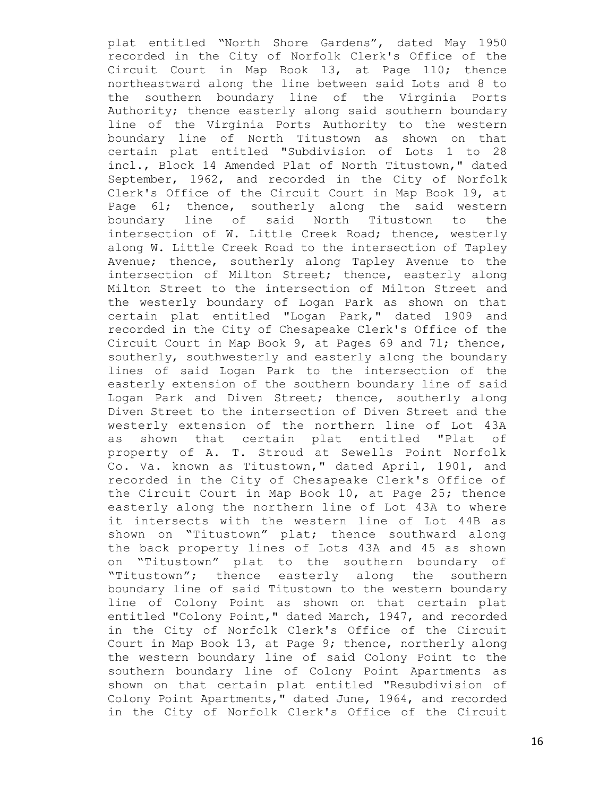plat entitled "North Shore Gardens", dated May 1950 recorded in the City of Norfolk Clerk's Office of the Circuit Court in Map Book 13, at Page 110; thence northeastward along the line between said Lots and 8 to the southern boundary line of the Virginia Ports Authority; thence easterly along said southern boundary line of the Virginia Ports Authority to the western boundary line of North Titustown as shown on that certain plat entitled "Subdivision of Lots 1 to 28 incl., Block 14 Amended Plat of North Titustown," dated September, 1962, and recorded in the City of Norfolk Clerk's Office of the Circuit Court in Map Book 19, at Page 61; thence, southerly along the said western boundary line of said North Titustown to the intersection of W. Little Creek Road; thence, westerly along W. Little Creek Road to the intersection of Tapley Avenue; thence, southerly along Tapley Avenue to the intersection of Milton Street; thence, easterly along Milton Street to the intersection of Milton Street and the westerly boundary of Logan Park as shown on that certain plat entitled "Logan Park," dated 1909 and recorded in the City of Chesapeake Clerk's Office of the Circuit Court in Map Book 9, at Pages 69 and 71; thence, southerly, southwesterly and easterly along the boundary lines of said Logan Park to the intersection of the easterly extension of the southern boundary line of said Logan Park and Diven Street; thence, southerly along Diven Street to the intersection of Diven Street and the westerly extension of the northern line of Lot 43A as shown that certain plat entitled "Plat of property of A. T. Stroud at Sewells Point Norfolk Co. Va. known as Titustown," dated April, 1901, and recorded in the City of Chesapeake Clerk's Office of the Circuit Court in Map Book 10, at Page 25; thence easterly along the northern line of Lot 43A to where it intersects with the western line of Lot 44B as shown on "Titustown" plat; thence southward along the back property lines of Lots 43A and 45 as shown on "Titustown" plat to the southern boundary of "Titustown"; thence easterly along the southern boundary line of said Titustown to the western boundary line of Colony Point as shown on that certain plat entitled "Colony Point," dated March, 1947, and recorded in the City of Norfolk Clerk's Office of the Circuit Court in Map Book 13, at Page 9; thence, northerly along the western boundary line of said Colony Point to the southern boundary line of Colony Point Apartments as shown on that certain plat entitled "Resubdivision of Colony Point Apartments," dated June, 1964, and recorded in the City of Norfolk Clerk's Office of the Circuit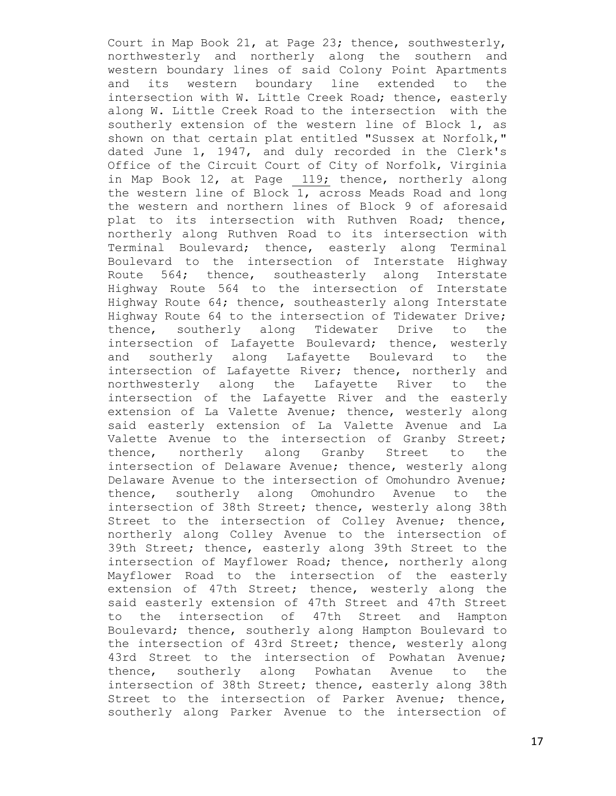Court in Map Book 21, at Page 23; thence, southwesterly, northwesterly and northerly along the southern and western boundary lines of said Colony Point Apartments and its western boundary line extended to the intersection with W. Little Creek Road; thence, easterly along W. Little Creek Road to the intersection with the southerly extension of the western line of Block 1, as shown on that certain plat entitled "Sussex at Norfolk," dated June 1, 1947, and duly recorded in the Clerk's Office of the Circuit Court of City of Norfolk, Virginia in Map Book 12, at Page 119; thence, northerly along the western line of Block 1, across Meads Road and long the western and northern lines of Block 9 of aforesaid plat to its intersection with Ruthven Road; thence, northerly along Ruthven Road to its intersection with Terminal Boulevard; thence, easterly along Terminal Boulevard to the intersection of Interstate Highway Route 564; thence, southeasterly along Interstate Highway Route 564 to the intersection of Interstate Highway Route 64; thence, southeasterly along Interstate Highway Route 64 to the intersection of Tidewater Drive; thence, southerly along Tidewater Drive to the intersection of Lafayette Boulevard; thence, westerly and southerly along Lafayette Boulevard to the intersection of Lafayette River; thence, northerly and northwesterly along the Lafayette River to the intersection of the Lafayette River and the easterly extension of La Valette Avenue; thence, westerly along said easterly extension of La Valette Avenue and La Valette Avenue to the intersection of Granby Street; thence, northerly along Granby Street to the intersection of Delaware Avenue; thence, westerly along Delaware Avenue to the intersection of Omohundro Avenue; thence, southerly along Omohundro Avenue to the intersection of 38th Street; thence, westerly along 38th Street to the intersection of Colley Avenue; thence, northerly along Colley Avenue to the intersection of 39th Street; thence, easterly along 39th Street to the intersection of Mayflower Road; thence, northerly along Mayflower Road to the intersection of the easterly extension of 47th Street; thence, westerly along the said easterly extension of 47th Street and 47th Street to the intersection of 47th Street and Hampton Boulevard; thence, southerly along Hampton Boulevard to the intersection of 43rd Street; thence, westerly along 43rd Street to the intersection of Powhatan Avenue; thence, southerly along Powhatan Avenue to the intersection of 38th Street; thence, easterly along 38th Street to the intersection of Parker Avenue; thence, southerly along Parker Avenue to the intersection of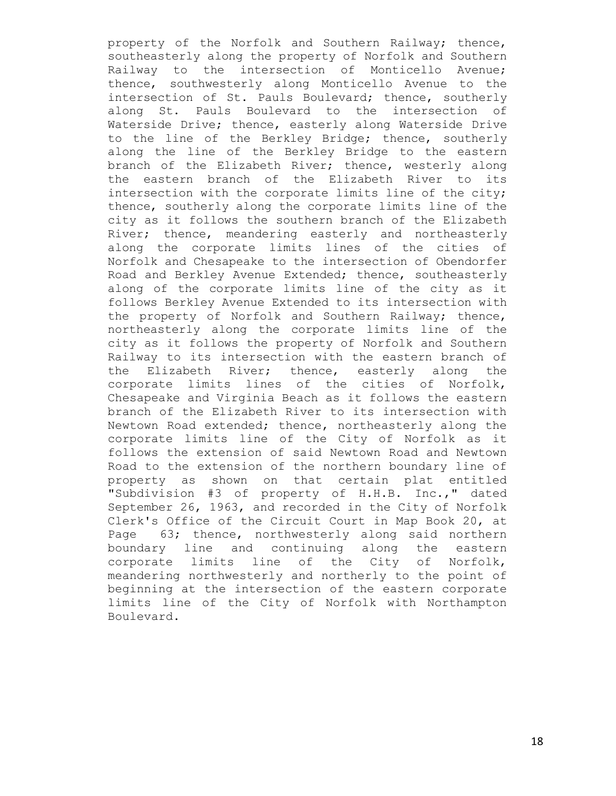property of the Norfolk and Southern Railway; thence, southeasterly along the property of Norfolk and Southern Railway to the intersection of Monticello Avenue; thence, southwesterly along Monticello Avenue to the intersection of St. Pauls Boulevard; thence, southerly along St. Pauls Boulevard to the intersection of Waterside Drive; thence, easterly along Waterside Drive to the line of the Berkley Bridge; thence, southerly along the line of the Berkley Bridge to the eastern branch of the Elizabeth River; thence, westerly along the eastern branch of the Elizabeth River to its intersection with the corporate limits line of the city; thence, southerly along the corporate limits line of the city as it follows the southern branch of the Elizabeth River; thence, meandering easterly and northeasterly along the corporate limits lines of the cities of Norfolk and Chesapeake to the intersection of Obendorfer Road and Berkley Avenue Extended; thence, southeasterly along of the corporate limits line of the city as it follows Berkley Avenue Extended to its intersection with the property of Norfolk and Southern Railway; thence, northeasterly along the corporate limits line of the city as it follows the property of Norfolk and Southern Railway to its intersection with the eastern branch of the Elizabeth River; thence, easterly along the corporate limits lines of the cities of Norfolk, Chesapeake and Virginia Beach as it follows the eastern branch of the Elizabeth River to its intersection with Newtown Road extended; thence, northeasterly along the corporate limits line of the City of Norfolk as it follows the extension of said Newtown Road and Newtown Road to the extension of the northern boundary line of property as shown on that certain plat entitled "Subdivision #3 of property of H.H.B. Inc.," dated September 26, 1963, and recorded in the City of Norfolk Clerk's Office of the Circuit Court in Map Book 20, at Page 63; thence, northwesterly along said northern boundary line and continuing along the eastern corporate limits line of the City of Norfolk, meandering northwesterly and northerly to the point of beginning at the intersection of the eastern corporate limits line of the City of Norfolk with Northampton Boulevard.